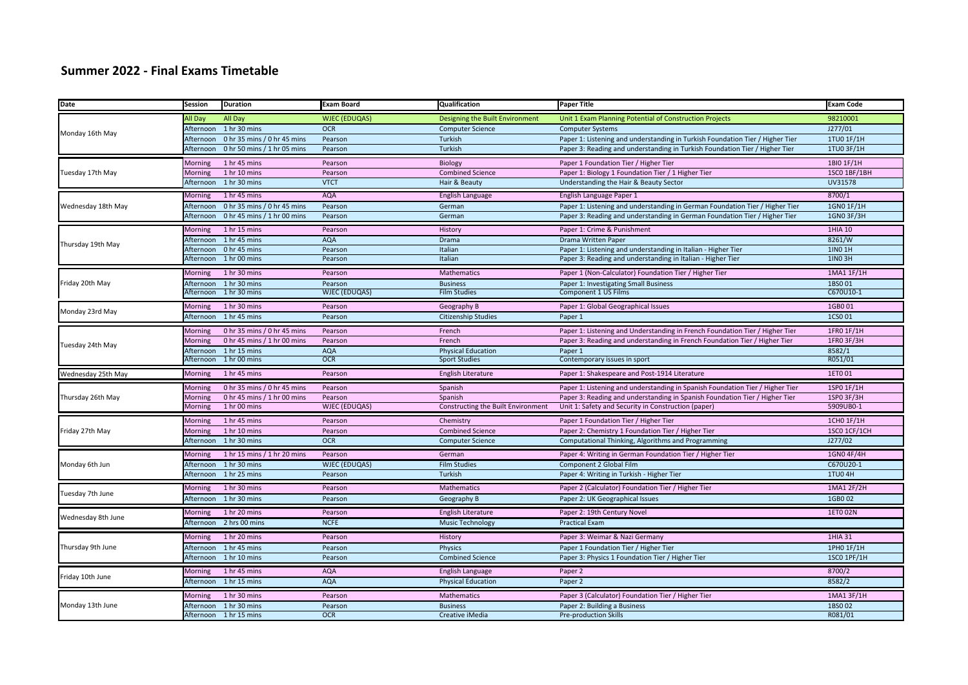## **Summer 2022 - Final Exams Timetable**

| Date               | Session        | <b>Duration</b>             | Exam Board           | Qualification                      | <b>Paper Title</b>                                                            | <b>Exam Code</b> |
|--------------------|----------------|-----------------------------|----------------------|------------------------------------|-------------------------------------------------------------------------------|------------------|
| Monday 16th May    | <b>II</b> Day  | All Day                     | <b>WJEC (EDUQAS)</b> | Designing the Built Environment    | Unit 1 Exam Planning Potential of Construction Projects                       | 98210001         |
|                    | Afternoon      | 1 hr 30 mins                | <b>OCR</b>           | <b>Computer Science</b>            | <b>Computer Systems</b>                                                       | J277/01          |
|                    | Afternoon      | 0 hr 35 mins / 0 hr 45 mins | Pearson              | Turkish                            | Paper 1: Listening and understanding in Turkish Foundation Tier / Higher Tier | 1TU0 1F/1H       |
|                    | Afternoon      | 0 hr 50 mins / 1 hr 05 mins | Pearson              | Turkish                            | Paper 3: Reading and understanding in Turkish Foundation Tier / Higher Tier   | 1TU0 3F/1H       |
| Tuesday 17th May   | <b>Morning</b> | 1 hr 45 mins                | Pearson              | Biology                            | Paper 1 Foundation Tier / Higher Tier                                         | 1BIO 1F/1H       |
|                    | Morning        | 1 hr 10 mins                | Pearson              | <b>Combined Science</b>            | Paper 1: Biology 1 Foundation Tier / 1 Higher Tier                            | 1SC0 1BF/1BH     |
|                    | Afternoon      | 1 hr 30 mins                | <b>VTCT</b>          | Hair & Beauty                      | Understanding the Hair & Beauty Sector                                        | UV31578          |
| Wednesday 18th May | Morning        | 1 hr 45 mins                | <b>AQA</b>           | <b>English Language</b>            | English Language Paper 1                                                      | 8700/1           |
|                    | Afternoon      | 0 hr 35 mins / 0 hr 45 mins | Pearson              | German                             | Paper 1: Listening and understanding in German Foundation Tier / Higher Tier  | 1GN0 1F/1H       |
|                    | Afternoon      | 0 hr 45 mins / 1 hr 00 mins | Pearson              | German                             | Paper 3: Reading and understanding in German Foundation Tier / Higher Tier    | 1GN0 3F/3H       |
|                    | Morning        | 1 hr 15 mins                | Pearson              | History                            | Paper 1: Crime & Punishment                                                   | 1HIA 10          |
| Thursday 19th May  | Afternoon      | 1 hr 45 mins                | <b>AQA</b>           | Drama                              | Drama Written Paper                                                           | 8261/W           |
|                    | Afternoon      | 0 hr 45 mins                | Pearson              | Italian                            | Paper 1: Listening and understanding in Italian - Higher Tier                 | 1IN0 1H          |
|                    | Afternoon      | 1 hr 00 mins                | Pearson              | Italian                            | Paper 3: Reading and understanding in Italian - Higher Tier                   | 1IN0 3H          |
|                    | <b>Morning</b> | 1 hr 30 mins                | Pearson              | Mathematics                        | Paper 1 (Non-Calculator) Foundation Tier / Higher Tier                        | 1MA1 1F/1H       |
| Friday 20th May    | Afternoon      | 1 hr 30 mins                | Pearson              | <b>Business</b>                    | Paper 1: Investigating Small Business                                         | 1BS001           |
|                    | Afternoon      | 1 hr 30 mins                | <b>WJEC (EDUQAS)</b> | <b>Film Studies</b>                | Component 1 US Films                                                          | C670U10-1        |
| Monday 23rd May    | <b>Morning</b> | 1 hr 30 mins                | Pearson              | Geography B                        | Paper 1: Global Geographical Issues                                           | 1GB001           |
|                    | Afternoon      | 1 hr 45 mins                | Pearson              | <b>Citizenship Studies</b>         | Paper 1                                                                       | 1CS0 01          |
|                    | <b>Morning</b> | 0 hr 35 mins / 0 hr 45 mins | Pearson              | French                             | Paper 1: Listening and Understanding in French Foundation Tier / Higher Tier  | 1FR0 1F/1H       |
| Tuesday 24th May   | Morning        | 0 hr 45 mins / 1 hr 00 mins | Pearson              | French                             | Paper 3: Reading and understanding in French Foundation Tier / Higher Tier    | 1FR0 3F/3H       |
|                    | Afternoon      | 1 hr 15 mins                | <b>AQA</b>           | <b>Physical Education</b>          | Paper 1                                                                       | 8582/1           |
|                    | Afternoon      | 1 hr 00 mins                | <b>OCR</b>           | <b>Sport Studies</b>               | Contemporary issues in sport                                                  | R051/01          |
| Wednesday 25th May | <b>Morning</b> | 1 hr 45 mins                | Pearson              | <b>English Literature</b>          | Paper 1: Shakespeare and Post-1914 Literature                                 | 1ET0 01          |
| Thursday 26th May  | Morning        | 0 hr 35 mins / 0 hr 45 mins | Pearson              | Spanish                            | Paper 1: Listening and understanding in Spanish Foundation Tier / Higher Tier | 1SP0 1F/1H       |
|                    | Morning        | 0 hr 45 mins / 1 hr 00 mins | Pearson              | Spanish                            | Paper 3: Reading and understanding in Spanish Foundation Tier / Higher Tier   | 1SP0 3F/3H       |
|                    | Morning        | 1 hr 00 mins                | <b>WJEC (EDUQAS)</b> | Constructing the Built Environment | Unit 1: Safety and Security in Construction (paper)                           | 5909UB0-1        |
|                    | Morning        | 1 hr 45 mins                | Pearson              | Chemistry                          | Paper 1 Foundation Tier / Higher Tier                                         | 1CH0 1F/1H       |
| Friday 27th May    | <b>Morning</b> | 1 hr 10 mins                | Pearson              | <b>Combined Science</b>            | Paper 2: Chemistry 1 Foundation Tier / Higher Tier                            | 1SCO 1CF/1CH     |
|                    | Afternoon      | 1 hr 30 mins                | <b>OCR</b>           | <b>Computer Science</b>            | Computational Thinking, Algorithms and Programming                            | J277/02          |
| Monday 6th Jun     | <b>Morning</b> | 1 hr 15 mins / 1 hr 20 mins | Pearson              | German                             | Paper 4: Writing in German Foundation Tier / Higher Tier                      | 1GN0 4F/4H       |
|                    | Afternoon      | 1 hr 30 mins                | <b>WJEC (EDUQAS)</b> | <b>Film Studies</b>                | Component 2 Global Film                                                       | C670U20-1        |
|                    | Afternoon      | 1 hr 25 mins                | Pearson              | Turkish                            | Paper 4: Writing in Turkish - Higher Tier                                     | 1TU04H           |
| Tuesday 7th June   | <b>Morning</b> | 1 hr 30 mins                | Pearson              | Mathematics                        | Paper 2 (Calculator) Foundation Tier / Higher Tier                            | 1MA1 2F/2H       |
|                    | Afternoon      | 1 hr 30 mins                | Pearson              | Geography B                        | Paper 2: UK Geographical Issues                                               | 1GB002           |
| Wednesday 8th June | <b>Morning</b> | 1 hr 20 mins                | Pearson              | English Literature                 | Paper 2: 19th Century Nove                                                    | 1ET0 02N         |
|                    | Afternoon      | 2 hrs 00 mins               | <b>NCFE</b>          | <b>Music Technology</b>            | <b>Practical Exam</b>                                                         |                  |
|                    | <b>Morning</b> | 1 hr 20 mins                | Pearson              | History                            | Paper 3: Weimar & Nazi Germany                                                | 1HIA 31          |
| Thursday 9th June  | Afternoon      | 1 hr 45 mins                | Pearson              | Physics                            | Paper 1 Foundation Tier / Higher Tier                                         | 1PH0 1F/1H       |
|                    | Afternoon      | 1 hr 10 mins                | Pearson              | <b>Combined Science</b>            | Paper 3: Physics 1 Foundation Tier / Higher Tier                              | 1SC0 1PF/1H      |
| Friday 10th June   | <b>Morning</b> | 1 hr 45 mins                | <b>AQA</b>           | English Language                   | Paper 2                                                                       | 8700/2           |
|                    | Afternoon      | 1 hr 15 mins                | <b>AQA</b>           | <b>Physical Education</b>          | Paper 2                                                                       | 8582/2           |
| Monday 13th June   |                | 1 hr 30 mins                | Pearson              | Mathematics                        | Paper 3 (Calculator) Foundation Tier / Higher Tier                            | 1MA1 3F/1H       |
|                    | <b>Morning</b> | Afternoon 1 hr 30 mins      | Pearson              | <b>Business</b>                    | Paper 2: Building a Business                                                  | 1BS002           |
|                    |                | Afternoon 1 hr 15 mins      | <b>OCR</b>           | Creative iMedia                    | <b>Pre-production Skills</b>                                                  | R081/01          |
|                    |                |                             |                      |                                    |                                                                               |                  |